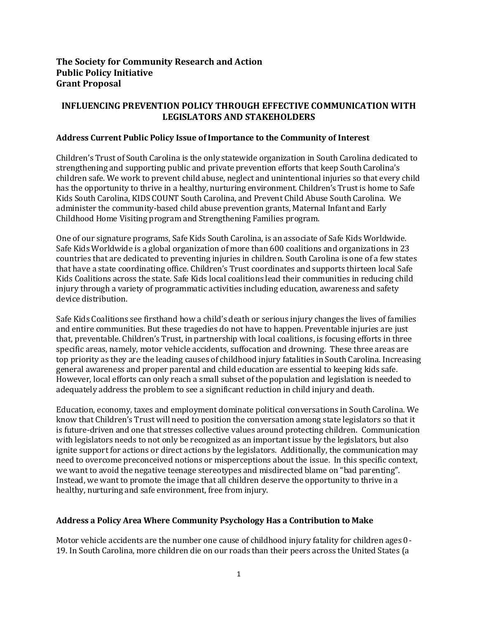## **The Society for Community Research and Action Public Policy Initiative Grant Proposal**

# **INFLUENCING PREVENTION POLICY THROUGH EFFECTIVE COMMUNICATION WITH LEGISLATORS AND STAKEHOLDERS**

#### **Address Current Public Policy Issue of Importance to the Community of Interest**

Children's Trust of South Carolina is the only statewide organization in South Carolina dedicated to strengthening and supporting public and private prevention efforts that keep South Carolina's children safe. We work to prevent child abuse, neglect and unintentional injuries so that every child has the opportunity to thrive in a healthy, nurturing environment. Children's Trust is home to Safe Kids South Carolina, KIDS COUNT South Carolina, and Prevent Child Abuse South Carolina. We administer the community-based child abuse prevention grants, Maternal Infant and Early Childhood Home Visiting program and Strengthening Families program.

One of our signature programs, Safe Kids South Carolina, is an associate of Safe Kids Worldwide. Safe Kids Worldwide is a global organization of more than 600 coalitions and organizations in 23 countries that are dedicated to preventing injuries in children. South Carolina is one of a few states that have a state coordinating office. Children's Trust coordinates and supports thirteen local Safe Kids Coalitions across the state. Safe Kids local coalitions lead their communities in reducing child injury through a variety of programmatic activities including education, awareness and safety device distribution.

Safe Kids Coalitions see firsthand how a child's death or serious injury changes the lives of families and entire communities. But these tragedies do not have to happen. Preventable injuries are just that, preventable. Children's Trust, in partnership with local coalitions, is focusing efforts in three specific areas, namely, motor vehicle accidents, suffocation and drowning. These three areas are top priority as they are the leading causes of childhood injury fatalities in South Carolina. Increasing general awareness and proper parental and child education are essential to keeping kids safe. However, local efforts can only reach a small subset of the population and legislation is needed to adequately address the problem to see a significant reduction in child injury and death.

Education, economy, taxes and employment dominate political conversations in South Carolina. We know that Children's Trust will need to position the conversation among state legislators so that it is future-driven and one that stresses collective values around protecting children. Communication with legislators needs to not only be recognized as an important issue by the legislators, but also ignite support for actions or direct actions by the legislators. Additionally, the communication may need to overcome preconceived notions or misperceptions about the issue. In this specific context, we want to avoid the negative teenage stereotypes and misdirected blame on "bad parenting". Instead, we want to promote the image that all children deserve the opportunity to thrive in a healthy, nurturing and safe environment, free from injury.

#### **Address a Policy Area Where Community Psychology Has a Contribution to Make**

Motor vehicle accidents are the number one cause of childhood injury fatality for children ages 0- 19. In South Carolina, more children die on our roads than their peers across the United States (a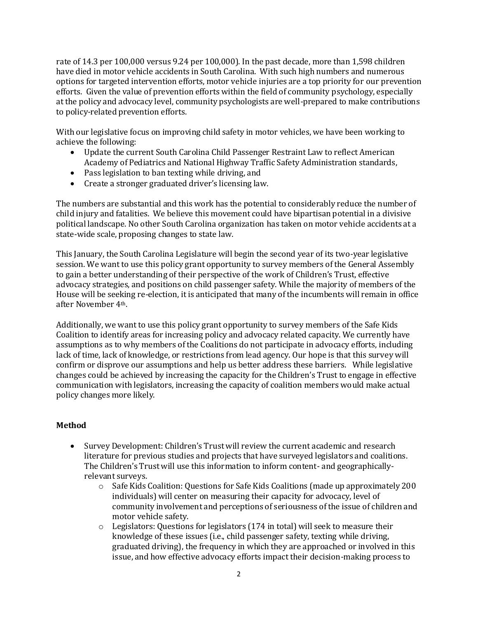rate of 14.3 per 100,000 versus 9.24 per 100,000). In the past decade, more than 1,598 children have died in motor vehicle accidents in South Carolina. With such high numbers and numerous options for targeted intervention efforts, motor vehicle injuries are a top priority for our prevention efforts. Given the value of prevention efforts within the field of community psychology, especially at the policy and advocacy level, community psychologists are well-prepared to make contributions to policy-related prevention efforts.

With our legislative focus on improving child safety in motor vehicles, we have been working to achieve the following:

- Update the current South Carolina Child Passenger Restraint Law to reflect American Academy of Pediatrics and National Highway Traffic Safety Administration standards,
- Pass legislation to ban texting while driving, and
- Create a stronger graduated driver's licensing law.

The numbers are substantial and this work has the potential to considerably reduce the number of child injury and fatalities. We believe this movement could have bipartisan potential in a divisive political landscape. No other South Carolina organization has taken on motor vehicle accidents at a state-wide scale, proposing changes to state law.

This January, the South Carolina Legislature will begin the second year of its two-year legislative session. We want to use this policy grant opportunity to survey members of the General Assembly to gain a better understanding of their perspective of the work of Children's Trust, effective advocacy strategies, and positions on child passenger safety. While the majority of members of the House will be seeking re-election, it is anticipated that many of the incumbents will remain in office after November 4th.

Additionally, we want to use this policy grant opportunity to survey members of the Safe Kids Coalition to identify areas for increasing policy and advocacy related capacity. We currently have assumptions as to why members of the Coalitions do not participate in advocacy efforts, including lack of time, lack of knowledge, or restrictions from lead agency. Our hope is that this survey will confirm or disprove our assumptions and help us better address these barriers. While legislative changes could be achieved by increasing the capacity for the Children's Trust to engage in effective communication with legislators, increasing the capacity of coalition members would make actual policy changes more likely.

# **Method**

- Survey Development: Children's Trust will review the current academic and research literature for previous studies and projects that have surveyed legislators and coalitions. The Children's Trust will use this information to inform content- and geographicallyrelevant surveys.
	- o Safe Kids Coalition: Questions for Safe Kids Coalitions (made up approximately 200 individuals) will center on measuring their capacity for advocacy, level of community involvement and perceptions of seriousness of the issue of children and motor vehicle safety.
	- $\circ$  Legislators: Questions for legislators (174 in total) will seek to measure their knowledge of these issues (i.e., child passenger safety, texting while driving, graduated driving), the frequency in which they are approached or involved in this issue, and how effective advocacy efforts impact their decision-making process to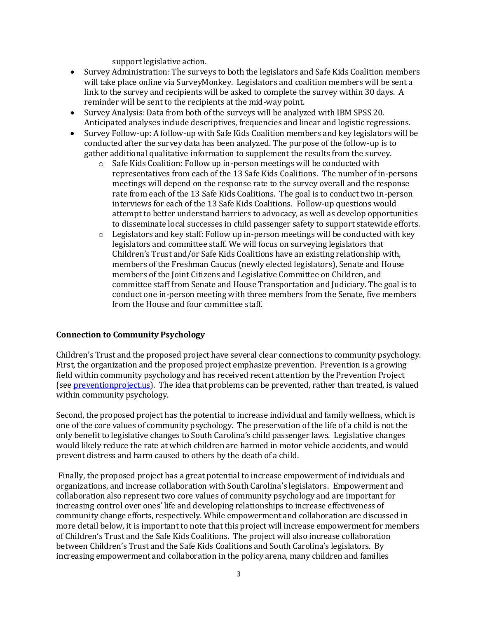support legislative action.

- Survey Administration: The surveys to both the legislators and Safe Kids Coalition members will take place online via SurveyMonkey. Legislators and coalition members will be sent a link to the survey and recipients will be asked to complete the survey within 30 days. A reminder will be sent to the recipients at the mid-way point.
- Survey Analysis: Data from both of the surveys will be analyzed with IBM SPSS 20. Anticipated analyses include descriptives, frequencies and linear and logistic regressions.
- Survey Follow-up: A follow-up with Safe Kids Coalition members and key legislators will be conducted after the survey data has been analyzed. The purpose of the follow-up is to gather additional qualitative information to supplement the results from the survey.
	- o Safe Kids Coalition: Follow up in-person meetings will be conducted with representatives from each of the 13 Safe Kids Coalitions. The number of in-persons meetings will depend on the response rate to the survey overall and the response rate from each of the 13 Safe Kids Coalitions. The goal is to conduct two in-person interviews for each of the 13 Safe Kids Coalitions. Follow-up questions would attempt to better understand barriers to advocacy, as well as develop opportunities to disseminate local successes in child passenger safety to support statewide efforts.
	- $\circ$  Legislators and key staff: Follow up in-person meetings will be conducted with key legislators and committee staff. We will focus on surveying legislators that Children's Trust and/or Safe Kids Coalitions have an existing relationship with, members of the Freshman Caucus (newly elected legislators), Senate and House members of the Joint Citizens and Legislative Committee on Children, and committee staff from Senate and House Transportation and Judiciary. The goal is to conduct one in-person meeting with three members from the Senate, five members from the House and four committee staff.

### **Connection to Community Psychology**

Children's Trust and the proposed project have several clear connections to community psychology. First, the organization and the proposed project emphasize prevention. Prevention is a growing field within community psychology and has received recent attention by the Prevention Project (see [preventionproject.us\)](http://preventionproject.us/). The idea that problems can be prevented, rather than treated, is valued within community psychology.

Second, the proposed project has the potential to increase individual and family wellness, which is one of the core values of community psychology. The preservation of the life of a child is not the only benefit to legislative changes to South Carolina's child passenger laws. Legislative changes would likely reduce the rate at which children are harmed in motor vehicle accidents, and would prevent distress and harm caused to others by the death of a child.

Finally, the proposed project has a great potential to increase empowerment of individuals and organizations, and increase collaboration with South Carolina's legislators. Empowerment and collaboration also represent two core values of community psychology and are important for increasing control over ones' life and developing relationships to increase effectiveness of community change efforts, respectively. While empowerment and collaboration are discussed in more detail below, it is important to note that this project will increase empowerment for members of Children's Trust and the Safe Kids Coalitions. The project will also increase collaboration between Children's Trust and the Safe Kids Coalitions and South Carolina's legislators. By increasing empowerment and collaboration in the policy arena, many children and families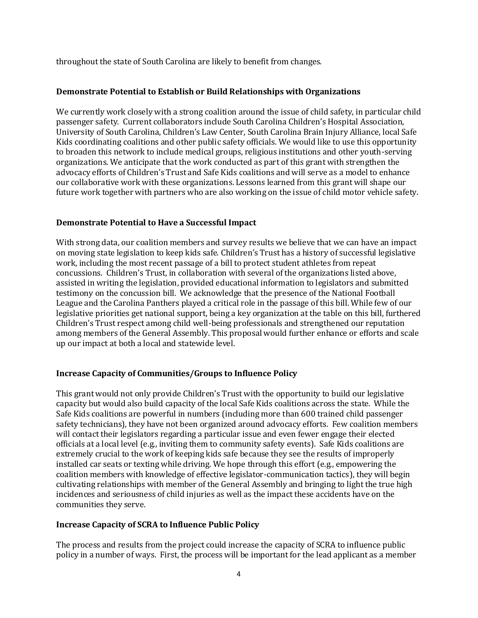throughout the state of South Carolina are likely to benefit from changes.

## **Demonstrate Potential to Establish or Build Relationships with Organizations**

We currently work closely with a strong coalition around the issue of child safety, in particular child passenger safety. Current collaborators include South Carolina Children's Hospital Association, University of South Carolina, Children's Law Center, South Carolina Brain Injury Alliance, local Safe Kids coordinating coalitions and other public safety officials. We would like to use this opportunity to broaden this network to include medical groups, religious institutions and other youth-serving organizations. We anticipate that the work conducted as part of this grant with strengthen the advocacy efforts of Children's Trust and Safe Kids coalitions and will serve as a model to enhance our collaborative work with these organizations. Lessons learned from this grant will shape our future work together with partners who are also working on the issue of child motor vehicle safety.

### **Demonstrate Potential to Have a Successful Impact**

With strong data, our coalition members and survey results we believe that we can have an impact on moving state legislation to keep kids safe. Children's Trust has a history of successful legislative work, including the most recent passage of a bill to protect student athletes from repeat concussions. Children's Trust, in collaboration with several of the organizations listed above, assisted in writing the legislation, provided educational information to legislators and submitted testimony on the concussion bill. We acknowledge that the presence of the National Football League and the Carolina Panthers played a critical role in the passage of this bill. While few of our legislative priorities get national support, being a key organization at the table on this bill, furthered Children's Trust respect among child well-being professionals and strengthened our reputation among members of the General Assembly. This proposal would further enhance or efforts and scale up our impact at both a local and statewide level.

### **Increase Capacity of Communities/Groups to Influence Policy**

This grant would not only provide Children's Trust with the opportunity to build our legislative capacity but would also build capacity of the local Safe Kids coalitions across the state. While the Safe Kids coalitions are powerful in numbers (including more than 600 trained child passenger safety technicians), they have not been organized around advocacy efforts. Few coalition members will contact their legislators regarding a particular issue and even fewer engage their elected officials at a local level (e.g., inviting them to community safety events). Safe Kids coalitions are extremely crucial to the work of keeping kids safe because they see the results of improperly installed car seats or texting while driving. We hope through this effort (e.g., empowering the coalition members with knowledge of effective legislator-communication tactics), they will begin cultivating relationships with member of the General Assembly and bringing to light the true high incidences and seriousness of child injuries as well as the impact these accidents have on the communities they serve.

### **Increase Capacity of SCRA to Influence Public Policy**

The process and results from the project could increase the capacity of SCRA to influence public policy in a number of ways. First, the process will be important for the lead applicant as a member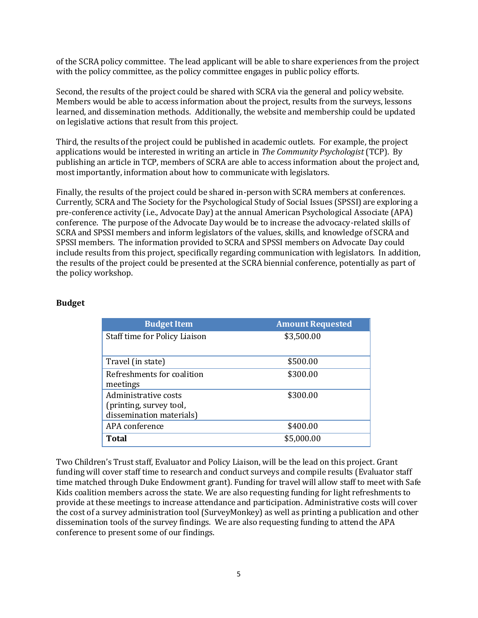of the SCRA policy committee. The lead applicant will be able to share experiences from the project with the policy committee, as the policy committee engages in public policy efforts.

Second, the results of the project could be shared with SCRA via the general and policy website. Members would be able to access information about the project, results from the surveys, lessons learned, and dissemination methods. Additionally, the website and membership could be updated on legislative actions that result from this project.

Third, the results of the project could be published in academic outlets. For example, the project applications would be interested in writing an article in *The Community Psychologist* (TCP). By publishing an article in TCP, members of SCRA are able to access information about the project and, most importantly, information about how to communicate with legislators.

Finally, the results of the project could be shared in-person with SCRA members at conferences. Currently, SCRA and The Society for the Psychological Study of Social Issues (SPSSI) are exploring a pre-conference activity (i.e., Advocate Day) at the annual American Psychological Associate (APA) conference. The purpose of the Advocate Day would be to increase the advocacy-related skills of SCRA and SPSSI members and inform legislators of the values, skills, and knowledge of SCRA and SPSSI members. The information provided to SCRA and SPSSI members on Advocate Day could include results from this project, specifically regarding communication with legislators. In addition, the results of the project could be presented at the SCRA biennial conference, potentially as part of the policy workshop.

#### **Budget**

| <b>Budget Item</b>            | <b>Amount Requested</b> |
|-------------------------------|-------------------------|
| Staff time for Policy Liaison | \$3,500.00              |
|                               |                         |
| Travel (in state)             | \$500.00                |
| Refreshments for coalition    | \$300.00                |
| meetings                      |                         |
| Administrative costs          | \$300.00                |
| (printing, survey tool,       |                         |
| dissemination materials)      |                         |
| APA conference                | \$400.00                |
| Total                         | \$5,000.00              |

Two Children's Trust staff, Evaluator and Policy Liaison, will be the lead on this project. Grant funding will cover staff time to research and conduct surveys and compile results (Evaluator staff time matched through Duke Endowment grant). Funding for travel will allow staff to meet with Safe Kids coalition members across the state. We are also requesting funding for light refreshments to provide at these meetings to increase attendance and participation. Administrative costs will cover the cost of a survey administration tool (SurveyMonkey) as well as printing a publication and other dissemination tools of the survey findings. We are also requesting funding to attend the APA conference to present some of our findings.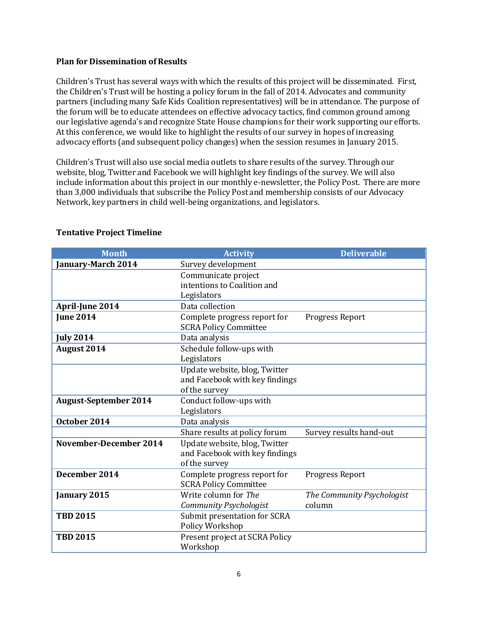#### **Plan for Dissemination of Results**

Children's Trust has several ways with which the results of this project will be disseminated. First, the Children's Trust will be hosting a policy forum in the fall of 2014. Advocates and community partners (including many Safe Kids Coalition representatives) will be in attendance. The purpose of the forum will be to educate attendees on effective advocacy tactics, find common ground among our legislative agenda's and recognize State House champions for their work supporting our efforts. At this conference, we would like to highlight the results of our survey in hopes of increasing advocacy efforts (and subsequent policy changes) when the session resumes in January 2015.

Children's Trust will also use social media outlets to share results of the survey. Through our website, blog, Twitter and Facebook we will highlight key findings of the survey. We will also include information about this project in our monthly e-newsletter, the Policy Post. There are more than 3,000 individuals that subscribe the Policy Post and membership consists of our Advocacy Network, key partners in child well-being organizations, and legislators.

| <b>Month</b>                 | <b>Activity</b>                | <b>Deliverable</b>         |
|------------------------------|--------------------------------|----------------------------|
| January-March 2014           | Survey development             |                            |
|                              | Communicate project            |                            |
|                              | intentions to Coalition and    |                            |
|                              | Legislators                    |                            |
| April-June 2014              | Data collection                |                            |
| <b>Iune 2014</b>             | Complete progress report for   | Progress Report            |
|                              | <b>SCRA Policy Committee</b>   |                            |
| <b>July 2014</b>             | Data analysis                  |                            |
| August 2014                  | Schedule follow-ups with       |                            |
|                              | Legislators                    |                            |
|                              | Update website, blog, Twitter  |                            |
|                              | and Facebook with key findings |                            |
|                              | of the survey                  |                            |
| <b>August-September 2014</b> | Conduct follow-ups with        |                            |
|                              | Legislators                    |                            |
| October 2014                 | Data analysis                  |                            |
|                              | Share results at policy forum  | Survey results hand-out    |
| November-December 2014       | Update website, blog, Twitter  |                            |
|                              | and Facebook with key findings |                            |
|                              | of the survey                  |                            |
| December 2014                | Complete progress report for   | Progress Report            |
|                              | <b>SCRA Policy Committee</b>   |                            |
| January 2015                 | Write column for The           | The Community Psychologist |
|                              | Community Psychologist         | column                     |
| <b>TBD 2015</b>              | Submit presentation for SCRA   |                            |
|                              | Policy Workshop                |                            |
| <b>TBD 2015</b>              | Present project at SCRA Policy |                            |
|                              | Workshop                       |                            |

## **Tentative Project Timeline**